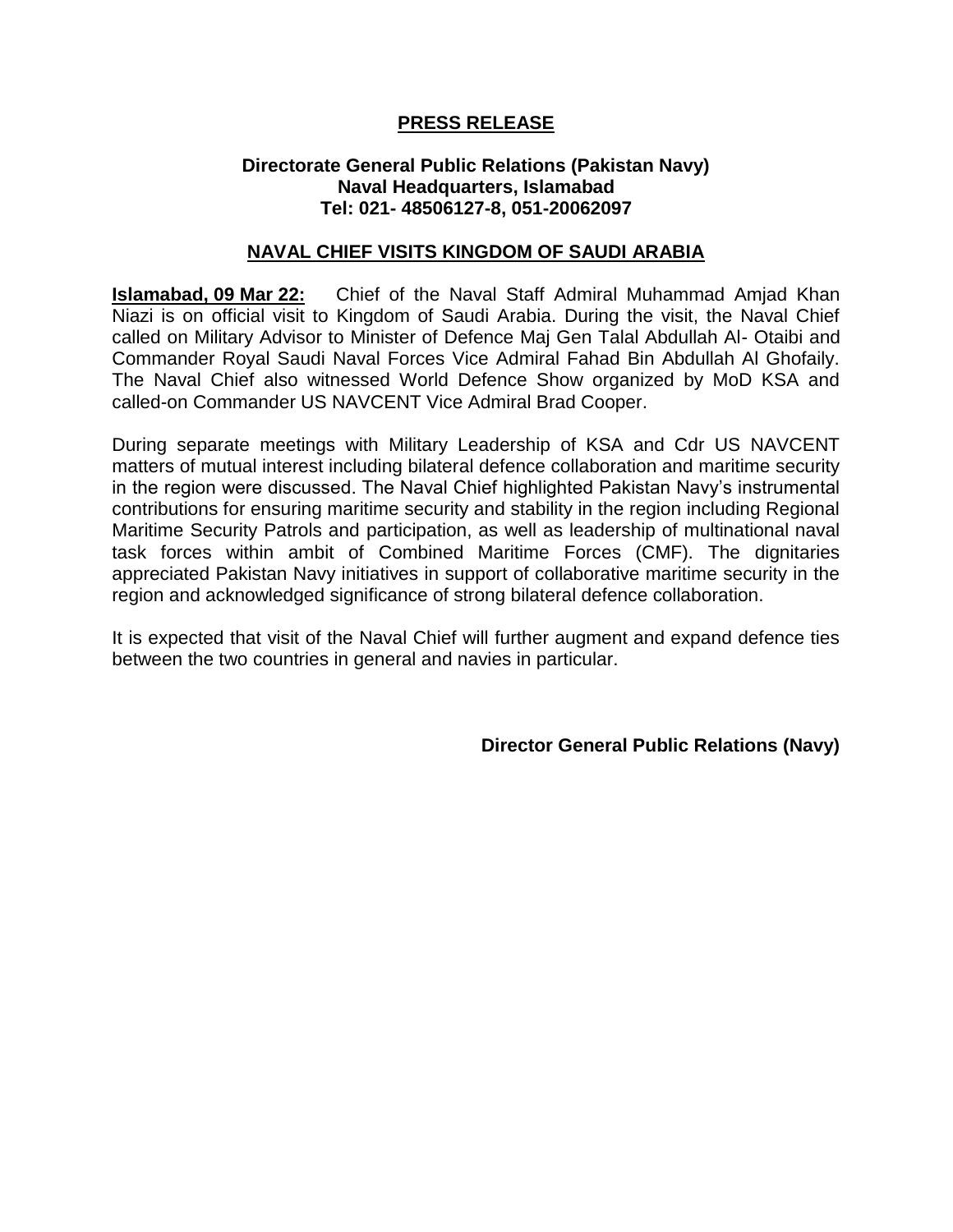## **PRESS RELEASE**

## **Directorate General Public Relations (Pakistan Navy) Naval Headquarters, Islamabad Tel: 021- 48506127-8, 051-20062097**

## **NAVAL CHIEF VISITS KINGDOM OF SAUDI ARABIA**

**Islamabad, 09 Mar 22:** Chief of the Naval Staff Admiral Muhammad Amjad Khan Niazi is on official visit to Kingdom of Saudi Arabia. During the visit, the Naval Chief called on Military Advisor to Minister of Defence Maj Gen Talal Abdullah Al- Otaibi and Commander Royal Saudi Naval Forces Vice Admiral Fahad Bin Abdullah Al Ghofaily. The Naval Chief also witnessed World Defence Show organized by MoD KSA and called-on Commander US NAVCENT Vice Admiral Brad Cooper.

During separate meetings with Military Leadership of KSA and Cdr US NAVCENT matters of mutual interest including bilateral defence collaboration and maritime security in the region were discussed. The Naval Chief highlighted Pakistan Navy's instrumental contributions for ensuring maritime security and stability in the region including Regional Maritime Security Patrols and participation, as well as leadership of multinational naval task forces within ambit of Combined Maritime Forces (CMF). The dignitaries appreciated Pakistan Navy initiatives in support of collaborative maritime security in the region and acknowledged significance of strong bilateral defence collaboration.

It is expected that visit of the Naval Chief will further augment and expand defence ties between the two countries in general and navies in particular.

**Director General Public Relations (Navy)**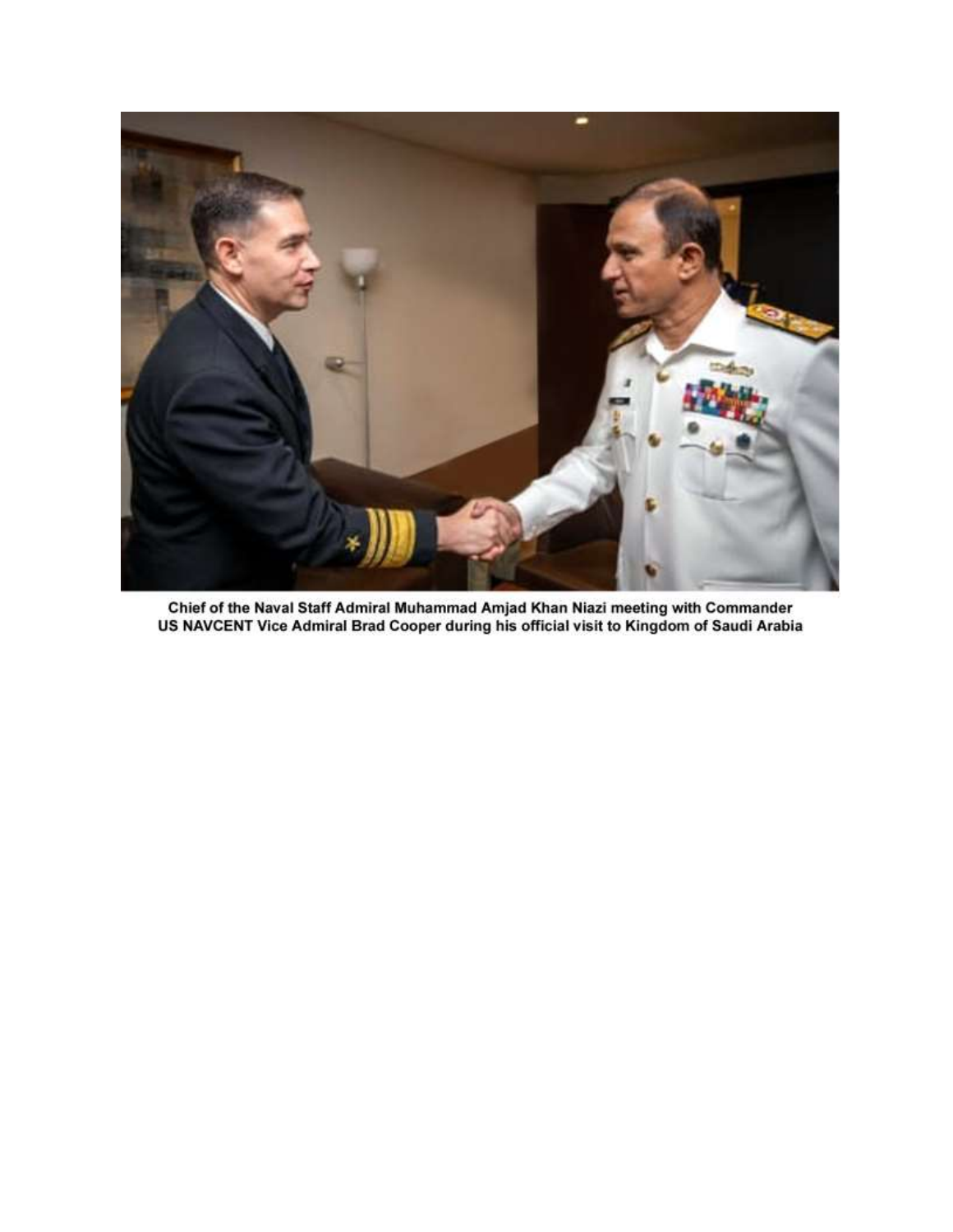

Chief of the Naval Staff Admiral Muhammad Amjad Khan Niazi meeting with Commander<br>US NAVCENT Vice Admiral Brad Cooper during his official visit to Kingdom of Saudi Arabia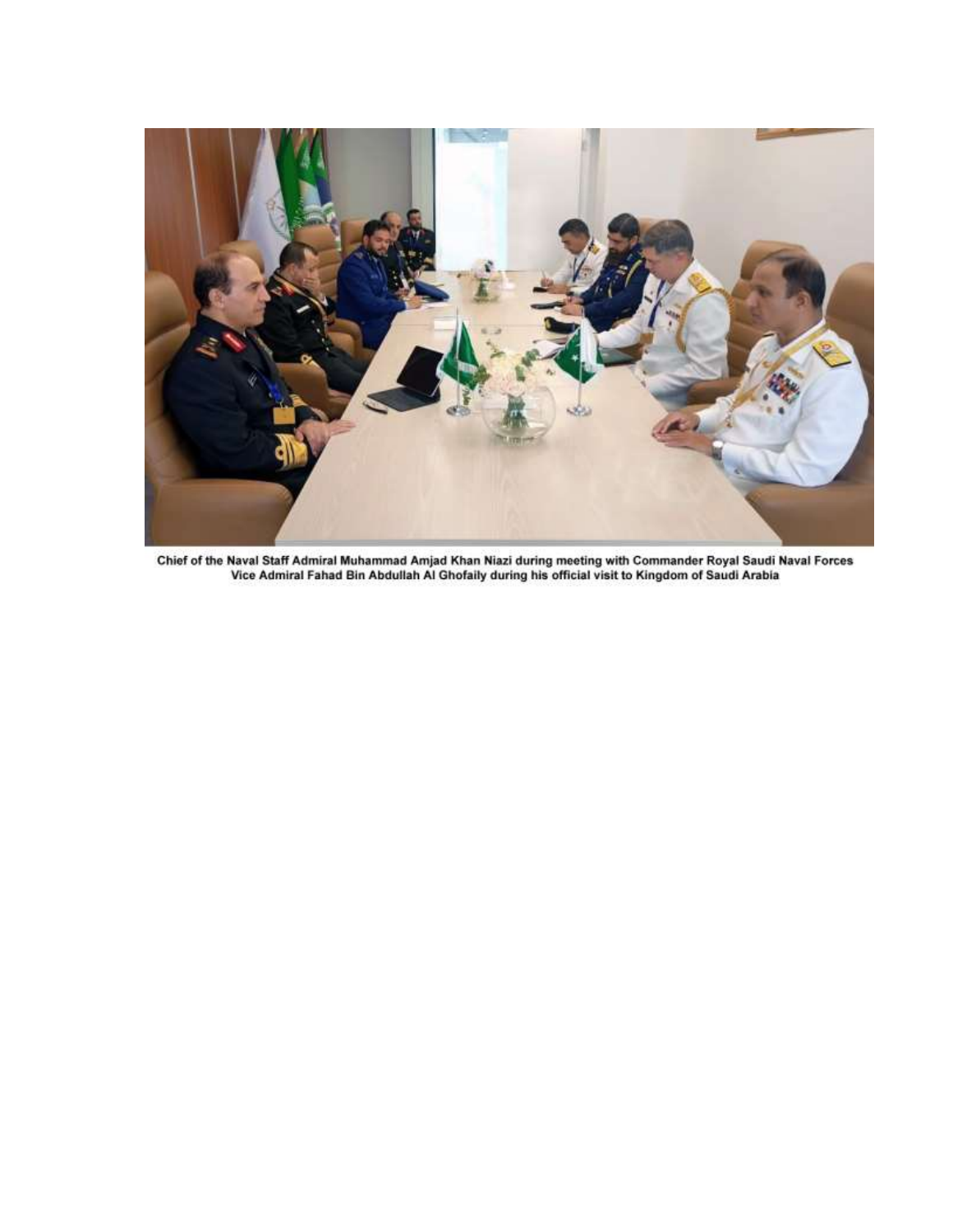

Chief of the Naval Staff Admiral Muhammad Amjad Khan Niazi during meeting with Commander Royal Saudi Naval Forces<br>Vice Admiral Fahad Bin Abdullah Al Ghofaily during his official visit to Kingdom of Saudi Arabia